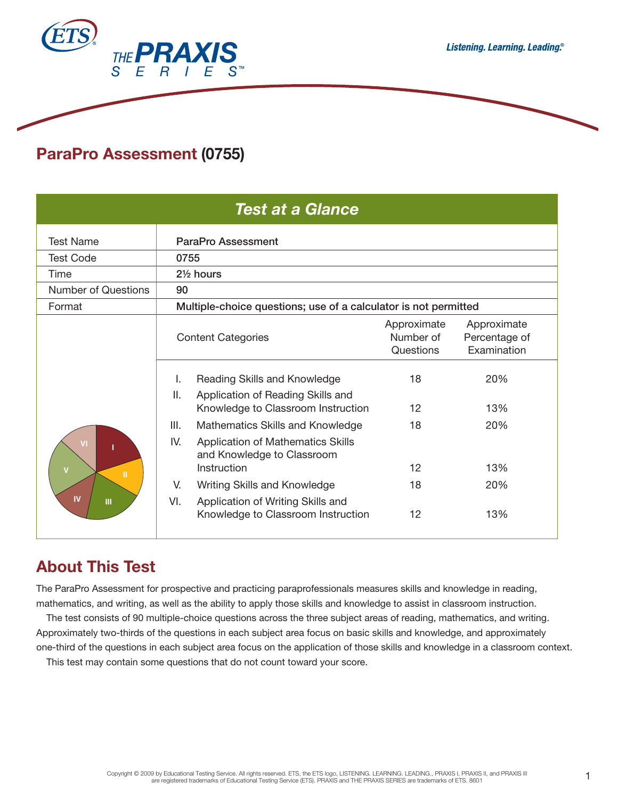

# **ParaPro Assessment (0755)**

| <b>Test at a Glance</b>                                             |                                                                                                                                          |                                       |                                             |
|---------------------------------------------------------------------|------------------------------------------------------------------------------------------------------------------------------------------|---------------------------------------|---------------------------------------------|
| <b>Test Name</b>                                                    | ParaPro Assessment                                                                                                                       |                                       |                                             |
| <b>Test Code</b>                                                    | 0755                                                                                                                                     |                                       |                                             |
| Time                                                                | 21/ <sub>2</sub> hours                                                                                                                   |                                       |                                             |
| <b>Number of Questions</b>                                          | 90                                                                                                                                       |                                       |                                             |
| Format                                                              | Multiple-choice questions; use of a calculator is not permitted                                                                          |                                       |                                             |
|                                                                     | <b>Content Categories</b>                                                                                                                | Approximate<br>Number of<br>Questions | Approximate<br>Percentage of<br>Examination |
|                                                                     | Reading Skills and Knowledge<br>I.<br>Ш.<br>Application of Reading Skills and<br>Knowledge to Classroom Instruction                      | 18<br>12                              | 20%<br>13%                                  |
| VI<br>$\overline{\mathsf{v}}$<br>$\mathbf{H}$<br>IV<br>$\mathbf{m}$ | III.<br>Mathematics Skills and Knowledge<br>IV.<br><b>Application of Mathematics Skills</b><br>and Knowledge to Classroom<br>Instruction | 18<br>12                              | 20%<br>13%                                  |
|                                                                     | Writing Skills and Knowledge<br>V.<br>VI.<br>Application of Writing Skills and                                                           | 18                                    | 20%                                         |
|                                                                     | Knowledge to Classroom Instruction                                                                                                       | 12                                    | 13%                                         |

# **About This Test**

The ParaPro Assessment for prospective and practicing paraprofessionals measures skills and knowledge in reading, mathematics, and writing, as well as the ability to apply those skills and knowledge to assist in classroom instruction.

The test consists of 90 multiple-choice questions across the three subject areas of reading, mathematics, and writing. Approximately two-thirds of the questions in each subject area focus on basic skills and knowledge, and approximately one-third of the questions in each subject area focus on the application of those skills and knowledge in a classroom context.

This test may contain some questions that do not count toward your score.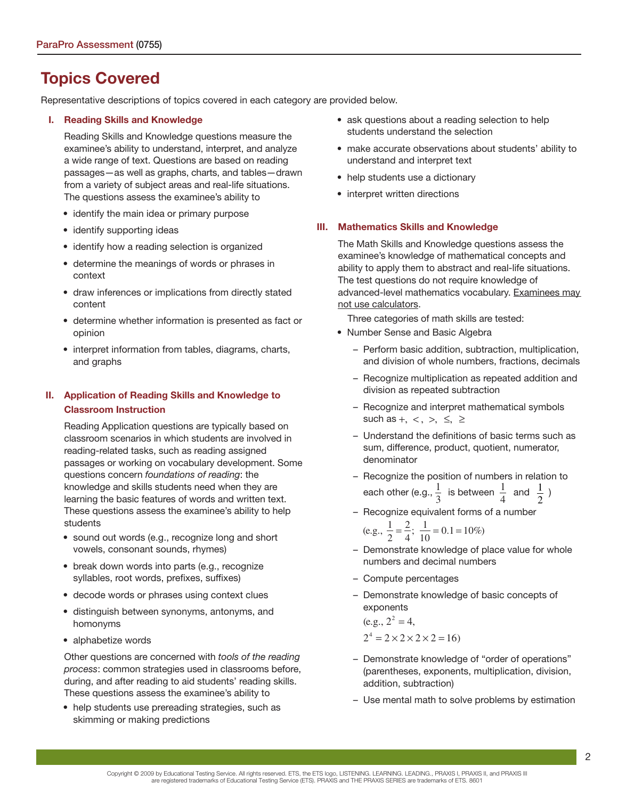# **Topics Covered**

Representative descriptions of topics covered in each category are provided below.

#### **I. Reading Skills and Knowledge**

Reading Skills and Knowledge questions measure the examinee's ability to understand, interpret, and analyze a wide range of text. Questions are based on reading passages—as well as graphs, charts, and tables—drawn from a variety of subject areas and real-life situations. The questions assess the examinee's ability to

- identify the main idea or primary purpose
- identify supporting ideas
- identify how a reading selection is organized
- determine the meanings of words or phrases in context
- draw inferences or implications from directly stated content
- determine whether information is presented as fact or opinion
- interpret information from tables, diagrams, charts, and graphs

### **II. Application of Reading Skills and Knowledge to Classroom Instruction**

Reading Application questions are typically based on classroom scenarios in which students are involved in reading-related tasks, such as reading assigned passages or working on vocabulary development. Some questions concern foundations of reading: the knowledge and skills students need when they are learning the basic features of words and written text. These questions assess the examinee's ability to help students

- sound out words (e.g., recognize long and short vowels, consonant sounds, rhymes)
- break down words into parts (e.g., recognize syllables, root words, prefixes, suffixes)
- decode words or phrases using context clues
- distinguish between synonyms, antonyms, and homonyms
- alphabetize words

Other questions are concerned with tools of the reading process: common strategies used in classrooms before, during, and after reading to aid students' reading skills. These questions assess the examinee's ability to

• help students use prereading strategies, such as skimming or making predictions

- ask questions about a reading selection to help students understand the selection
- make accurate observations about students' ability to understand and interpret text
- help students use a dictionary
- interpret written directions

#### **III. Mathematics Skills and Knowledge**

The Math Skills and Knowledge questions assess the examinee's knowledge of mathematical concepts and ability to apply them to abstract and real-life situations. The test questions do not require knowledge of advanced-level mathematics vocabulary. Examinees may not use calculators.

Three categories of math skills are tested:

- Number Sense and Basic Algebra
	- Perform basic addition, subtraction, multiplication, and division of whole numbers, fractions, decimals
	- Recognize multiplication as repeated addition and division as repeated subtraction
	- Recognize and interpret mathematical symbols such as  $+$ ,  $<$ ,  $>$ ,  $\leq$ ,  $\geq$
	- Understand the definitions of basic terms such as sum, difference, product, quotient, numerator, denominator
	- Recognize the position of numbers in relation to each other (e.g.,  $\frac{1}{2}$ 3 is between  $\frac{1}{4}$ 4 and  $\frac{1}{2}$ )
	- Recognize equivalent forms of a number

(e.g.,  $\frac{1}{2}$ )  $=\frac{2}{4}; \frac{1}{10} = 0.1 = 10\%)$ 

- Demonstrate knowledge of place value for whole numbers and decimal numbers
- Compute percentages
- Demonstrate knowledge of basic concepts of exponents

 $(e.g., 2^2 = 4,$  $2^4 = 2 \times 2 \times 2 \times 2 = 16$ 

- Demonstrate knowledge of "order of operations" (parentheses, exponents, multiplication, division, addition, subtraction)
- Use mental math to solve problems by estimation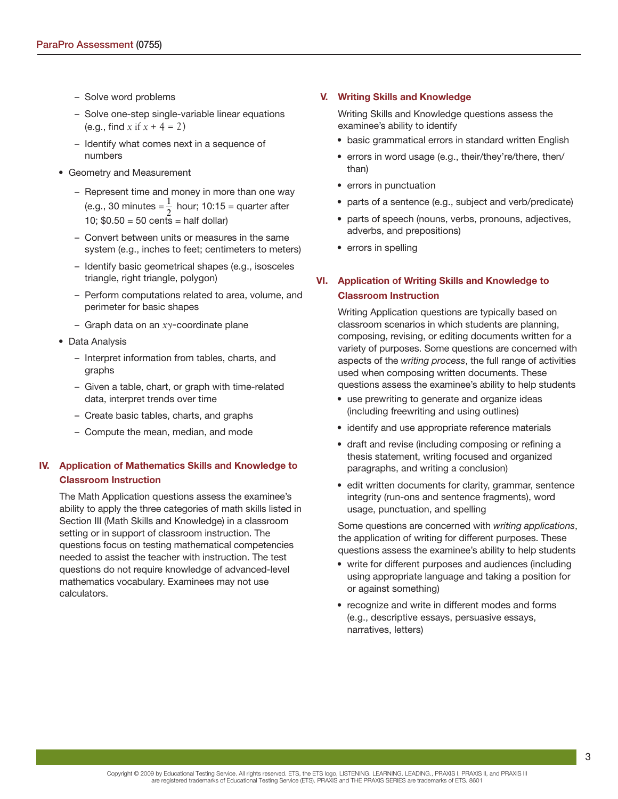- Solve word problems
- Solve one-step single-variable linear equations (e.g., find *x* if  $x + 4 = 2$ )
- Identify what comes next in a sequence of numbers
- Geometry and Measurement
	- Represent time and money in more than one way (e.g., 30 minutes  $=\frac{1}{2}$  hour; 10:15 = quarter after 10:  $$0.50 = 50$  cents = half dollar)
	- Convert between units or measures in the same system (e.g., inches to feet; centimeters to meters)
	- Identify basic geometrical shapes (e.g., isosceles triangle, right triangle, polygon)
	- Perform computations related to area, volume, and perimeter for basic shapes
	- Graph data on an *xy*-coordinate plane
- Data Analysis
	- Interpret information from tables, charts, and graphs
	- Given a table, chart, or graph with time-related data, interpret trends over time
	- Create basic tables, charts, and graphs
	- Compute the mean, median, and mode

### **IV. Application of Mathematics Skills and Knowledge to Classroom Instruction**

The Math Application questions assess the examinee's ability to apply the three categories of math skills listed in Section III (Math Skills and Knowledge) in a classroom setting or in support of classroom instruction. The questions focus on testing mathematical competencies needed to assist the teacher with instruction. The test questions do not require knowledge of advanced-level mathematics vocabulary. Examinees may not use calculators.

#### **V. Writing Skills and Knowledge**

Writing Skills and Knowledge questions assess the examinee's ability to identify

- basic grammatical errors in standard written English
- errors in word usage (e.g., their/they're/there, then/ than)
- errors in punctuation
- parts of a sentence (e.g., subject and verb/predicate)
- parts of speech (nouns, verbs, pronouns, adjectives, adverbs, and prepositions)
- errors in spelling

### **VI. Application of Writing Skills and Knowledge to Classroom Instruction**

Writing Application questions are typically based on classroom scenarios in which students are planning, composing, revising, or editing documents written for a variety of purposes. Some questions are concerned with aspects of the writing process, the full range of activities used when composing written documents. These questions assess the examinee's ability to help students

- use prewriting to generate and organize ideas (including freewriting and using outlines)
- identify and use appropriate reference materials
- draft and revise (including composing or refining a thesis statement, writing focused and organized paragraphs, and writing a conclusion)
- edit written documents for clarity, grammar, sentence integrity (run-ons and sentence fragments), word usage, punctuation, and spelling

Some questions are concerned with writing applications, the application of writing for different purposes. These questions assess the examinee's ability to help students

- write for different purposes and audiences (including using appropriate language and taking a position for or against something)
- recognize and write in different modes and forms (e.g., descriptive essays, persuasive essays, narratives, letters)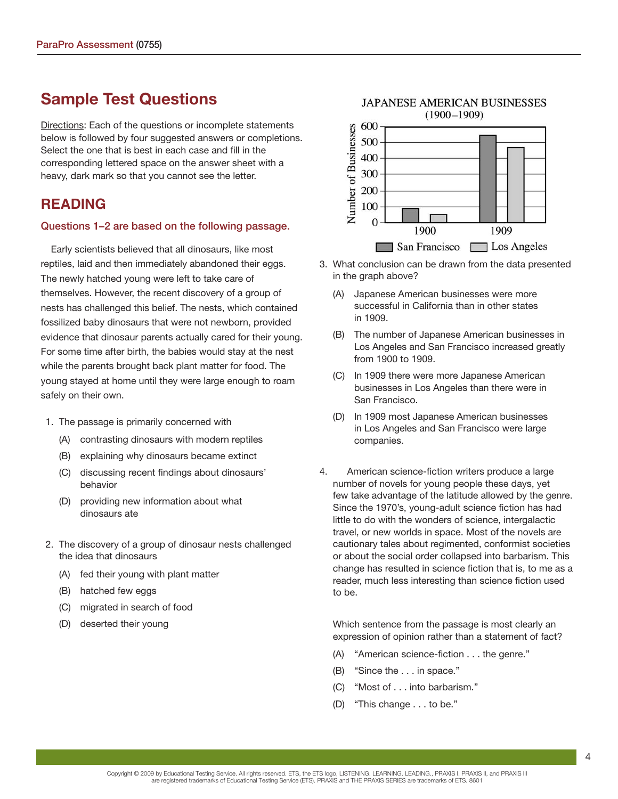# **Sample Test Questions**

Directions: Each of the questions or incomplete statements below is followed by four suggested answers or completions. Select the one that is best in each case and fill in the corresponding lettered space on the answer sheet with a heavy, dark mark so that you cannot see the letter.

# **READING**

#### **Questions 1–2 are based on the following passage.**

Early scientists believed that all dinosaurs, like most reptiles, laid and then immediately abandoned their eggs. The newly hatched young were left to take care of themselves. However, the recent discovery of a group of nests has challenged this belief. The nests, which contained fossilized baby dinosaurs that were not newborn, provided evidence that dinosaur parents actually cared for their young. For some time after birth, the babies would stay at the nest while the parents brought back plant matter for food. The young stayed at home until they were large enough to roam safely on their own.

- 1. The passage is primarily concerned with
	- (A) contrasting dinosaurs with modern reptiles
	- (B) explaining why dinosaurs became extinct
	- (C) discussing recent findings about dinosaurs' behavior
	- (D) providing new information about what dinosaurs ate
- 2. The discovery of a group of dinosaur nests challenged the idea that dinosaurs
	- (A) fed their young with plant matter
	- (B) hatched few eggs
	- (C) migrated in search of food
	- (D) deserted their young



- 3. What conclusion can be drawn from the data presented in the graph above?
	- (A) Japanese American businesses were more successful in California than in other states in 1909.
	- (B) The number of Japanese American businesses in Los Angeles and San Francisco increased greatly from 1900 to 1909.
	- (C) In 1909 there were more Japanese American businesses in Los Angeles than there were in San Francisco.
	- (D) In 1909 most Japanese American businesses in Los Angeles and San Francisco were large companies.
- 4. American science-fiction writers produce a large number of novels for young people these days, yet few take advantage of the latitude allowed by the genre. Since the 1970's, young-adult science fiction has had little to do with the wonders of science, intergalactic travel, or new worlds in space. Most of the novels are cautionary tales about regimented, conformist societies or about the social order collapsed into barbarism. This change has resulted in science fiction that is, to me as a reader, much less interesting than science fiction used to be.

 Which sentence from the passage is most clearly an expression of opinion rather than a statement of fact?

- (A) "American science-fiction . . . the genre."
- (B) "Since the . . . in space."
- (C) "Most of . . . into barbarism."
- (D) "This change . . . to be."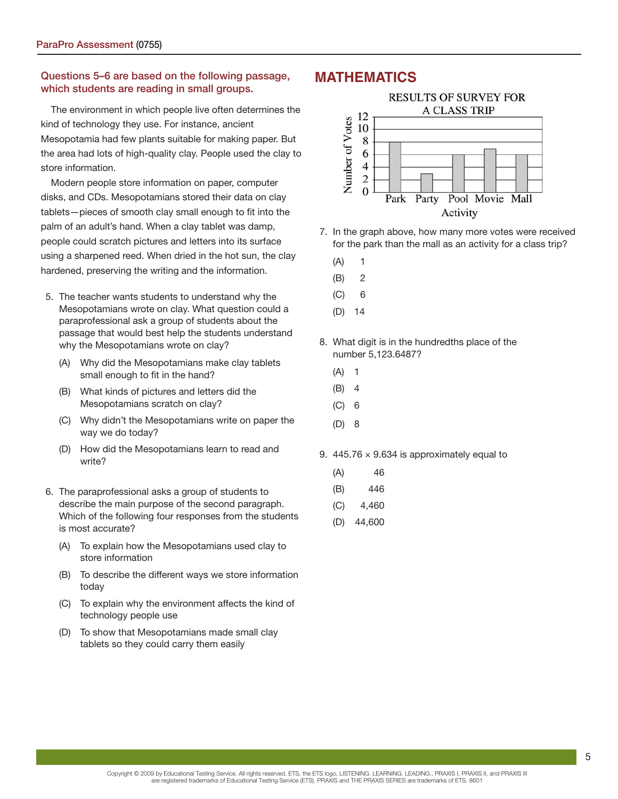### **Questions 5–6 are based on the following passage, which students are reading in small groups.**

The environment in which people live often determines the kind of technology they use. For instance, ancient Mesopotamia had few plants suitable for making paper. But the area had lots of high-quality clay. People used the clay to store information.

Modern people store information on paper, computer disks, and CDs. Mesopotamians stored their data on clay tablets—pieces of smooth clay small enough to fit into the palm of an adult's hand. When a clay tablet was damp, people could scratch pictures and letters into its surface using a sharpened reed. When dried in the hot sun, the clay hardened, preserving the writing and the information.

- 5. The teacher wants students to understand why the Mesopotamians wrote on clay. What question could a paraprofessional ask a group of students about the passage that would best help the students understand why the Mesopotamians wrote on clay?
	- (A) Why did the Mesopotamians make clay tablets small enough to fit in the hand?
	- (B) What kinds of pictures and letters did the Mesopotamians scratch on clay?
	- (C) Why didn't the Mesopotamians write on paper the way we do today?
	- (D) How did the Mesopotamians learn to read and write?
- 6. The paraprofessional asks a group of students to describe the main purpose of the second paragraph. Which of the following four responses from the students is most accurate?
	- (A) To explain how the Mesopotamians used clay to store information
	- (B) To describe the different ways we store information today
	- (C) To explain why the environment affects the kind of technology people use
	- (D) To show that Mesopotamians made small clay tablets so they could carry them easily

## **MATHEMATICS**



- 7. In the graph above, how many more votes were received for the park than the mall as an activity for a class trip?
	- $(A)$  1
	- (B) 2
	- (C) 6
	- (D) 14
- 8. What digit is in the hundredths place of the number 5,123.6487?
	- $(A) 1$
	- (B) 4
	- (C) 6
	- (D) 8
- 9. 445.76  $\times$  9.634 is approximately equal to
	- (A) 46
	- (B) 446
	- $(C)$  4,460
	- (D) 44,600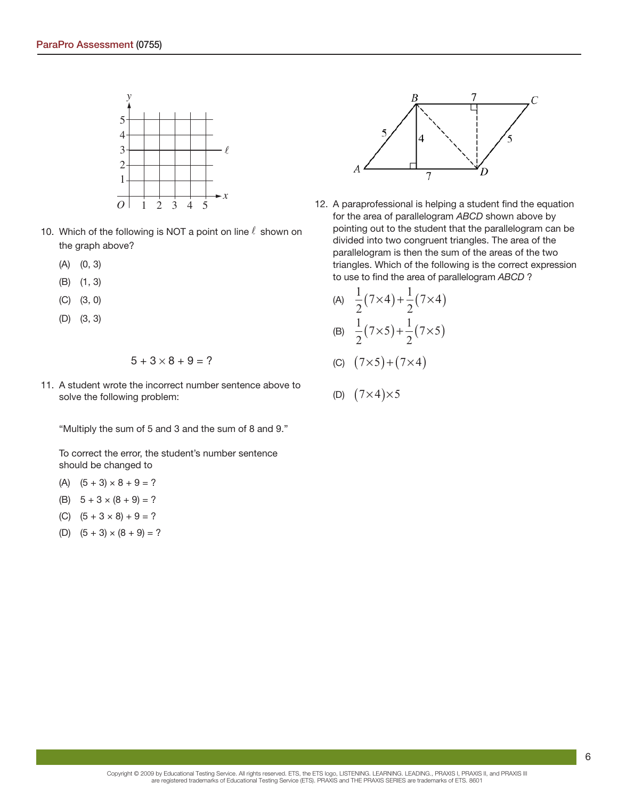

- 10. Which of the following is NOT a point on line  $\ell$  shown on the graph above?
	- (A) (0, 3)
	- (B) (1, 3)
	- (C) (3, 0)
	- (D) (3, 3)

$$
5+3\times8+9=?
$$

11. A student wrote the incorrect number sentence above to solve the following problem:

"Multiply the sum of 5 and 3 and the sum of 8 and 9."

To correct the error, the student's number sentence should be changed to

- (A)  $(5 + 3) \times 8 + 9 = ?$
- (B)  $5 + 3 \times (8 + 9) = ?$
- (C)  $(5 + 3 \times 8) + 9 = ?$
- (D)  $(5 + 3) \times (8 + 9) = ?$



12. A paraprofessional is helping a student find the equation for the area of parallelogram ABCD shown above by pointing out to the student that the parallelogram can be divided into two congruent triangles. The area of the parallelogram is then the sum of the areas of the two triangles. Which of the following is the correct expression to use to find the area of parallelogram ABCD?

(A) 
$$
\frac{1}{2}(7\times4) + \frac{1}{2}(7\times4)
$$
  
\n(B)  $\frac{1}{2}(7\times5) + \frac{1}{2}(7\times5)$ 

$$
(C) (7 \times 5) + (7 \times 4)
$$

$$
(D) (7 \times 4) \times 5
$$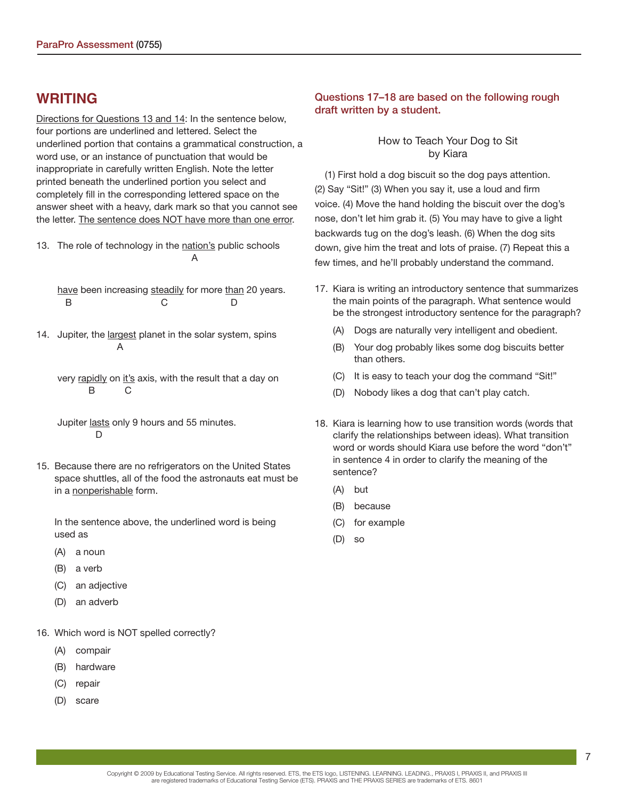## **WRITING**

Directions for Questions 13 and 14: In the sentence below, four portions are underlined and lettered. Select the underlined portion that contains a grammatical construction, a word use, or an instance of punctuation that would be inappropriate in carefully written English. Note the letter printed beneath the underlined portion you select and completely fill in the corresponding lettered space on the answer sheet with a heavy, dark mark so that you cannot see the letter. The sentence does NOT have more than one error.

13. The role of technology in the nation's public schools A

 have been increasing steadily for more than 20 years. B C D

14. Jupiter, the largest planet in the solar system, spins A

very rapidly on it's axis, with the result that a day on B C

Jupiter lasts only 9 hours and 55 minutes.  $\mathsf{D}$ 

15. Because there are no refrigerators on the United States space shuttles, all of the food the astronauts eat must be in a nonperishable form.

 In the sentence above, the underlined word is being used as

- (A) a noun
- (B) a verb
- (C) an adjective
- (D) an adverb
- 16. Which word is NOT spelled correctly?
	- (A) compair
	- (B) hardware
	- (C) repair
	- (D) scare

### **Questions 17–18 are based on the following rough draft written by a student.**

### How to Teach Your Dog to Sit by Kiara

(1) First hold a dog biscuit so the dog pays attention. (2) Say "Sit!" (3) When you say it, use a loud and firm voice. (4) Move the hand holding the biscuit over the dog's nose, don't let him grab it. (5) You may have to give a light backwards tug on the dog's leash. (6) When the dog sits down, give him the treat and lots of praise. (7) Repeat this a few times, and he'll probably understand the command.

- 17. Kiara is writing an introductory sentence that summarizes the main points of the paragraph. What sentence would be the strongest introductory sentence for the paragraph?
	- (A) Dogs are naturally very intelligent and obedient.
	- (B) Your dog probably likes some dog biscuits better than others.
	- (C) It is easy to teach your dog the command "Sit!"
	- (D) Nobody likes a dog that can't play catch.
- 18. Kiara is learning how to use transition words (words that clarify the relationships between ideas). What transition word or words should Kiara use before the word "don't" in sentence 4 in order to clarify the meaning of the sentence?
	- (A) but
	- (B) because
	- (C) for example
	- (D) so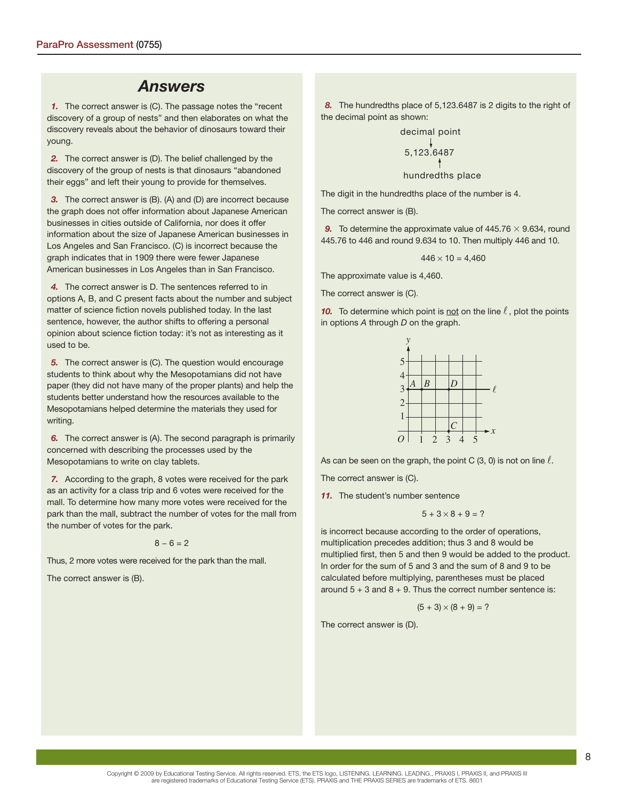## *Answers*

**1.** The correct answer is (C). The passage notes the "recent discovery of a group of nests" and then elaborates on what the discovery reveals about the behavior of dinosaurs toward their young.

**2.** The correct answer is (D). The belief challenged by the discovery of the group of nests is that dinosaurs "abandoned their eggs" and left their young to provide for themselves.

 *3.* The correct answer is (B). (A) and (D) are incorrect because the graph does not offer information about Japanese American businesses in cities outside of California, nor does it offer information about the size of Japanese American businesses in Los Angeles and San Francisco. (C) is incorrect because the graph indicates that in 1909 there were fewer Japanese American businesses in Los Angeles than in San Francisco.

 *4.* The correct answer is D. The sentences referred to in options A, B, and C present facts about the number and subject matter of science fiction novels published today. In the last sentence, however, the author shifts to offering a personal opinion about science fiction today: it's not as interesting as it used to be.

**5.** The correct answer is (C). The question would encourage students to think about why the Mesopotamians did not have paper (they did not have many of the proper plants) and help the students better understand how the resources available to the Mesopotamians helped determine the materials they used for writing.

 *6.* The correct answer is (A). The second paragraph is primarily concerned with describing the processes used by the Mesopotamians to write on clay tablets.

 *7.* According to the graph, 8 votes were received for the park as an activity for a class trip and 6 votes were received for the mall. To determine how many more votes were received for the park than the mall, subtract the number of votes for the mall from the number of votes for the park.

$$
8-6=2
$$

Thus, 2 more votes were received for the park than the mall.

The correct answer is (B).

 *8.* The hundredths place of 5,123.6487 is 2 digits to the right of the decimal point as shown:

decimal point

\n
$$
\begin{array}{c}\n\downarrow \\
5,123.6487 \\
\uparrow \\
\downarrow \\
\downarrow\n\end{array}
$$
\nhundredths place

The digit in the hundredths place of the number is 4.

The correct answer is (B).

**9.** To determine the approximate value of  $445.76 \times 9.634$ , round 445.76 to 446 and round 9.634 to 10. Then multiply 446 and 10.

$$
446 \times 10 = 4,460
$$

The approximate value is 4,460.

The correct answer is (C).

**10.** To determine which point is not on the line  $\ell$ , plot the points in options  $A$  through  $D$  on the graph.



As can be seen on the graph, the point C (3, 0) is not on line  $\ell$ .

The correct answer is (C).

*11.* The student's number sentence

$$
5+3\times8+9=?
$$

is incorrect because according to the order of operations, multiplication precedes addition; thus 3 and 8 would be multiplied first, then 5 and then 9 would be added to the product. In order for the sum of 5 and 3 and the sum of 8 and 9 to be calculated before multiplying, parentheses must be placed around  $5 + 3$  and  $8 + 9$ . Thus the correct number sentence is:

$$
(5 + 3) \times (8 + 9) = ?
$$

The correct answer is (D).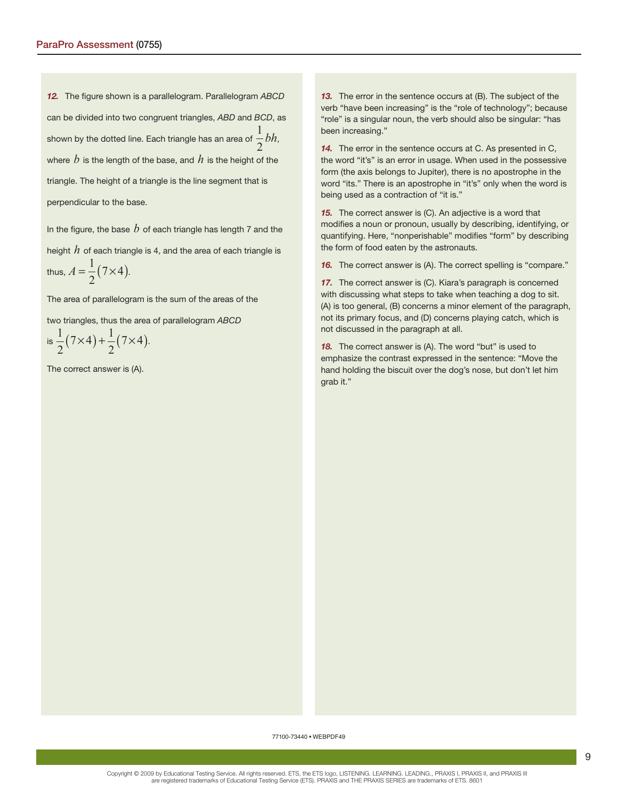**12.** The figure shown is a parallelogram. Parallelogram ABCD can be divided into two congruent triangles, ABD and BCD, as shown by the dotted line. Each triangle has an area of 1  $\frac{1}{2}bh$ , where  $b$  is the length of the base, and  $h$  is the height of the triangle. The height of a triangle is the line segment that is perpendicular to the base.

In the figure, the base  $b$  of each triangle has length 7 and the height *h* of each triangle is 4, and the area of each triangle is thus,  $A = \frac{1}{2}(7 \times 4)$ .

The area of parallelogram is the sum of the areas of the

two triangles, thus the area of parallelogram ABCD

is 
$$
\frac{1}{2}(7\times4) + \frac{1}{2}(7\times4)
$$
.

The correct answer is (A).

*13.* The error in the sentence occurs at (B). The subject of the verb "have been increasing" is the "role of technology"; because "role" is a singular noun, the verb should also be singular: "has been increasing."

*14.* The error in the sentence occurs at C. As presented in C, the word "it's" is an error in usage. When used in the possessive form (the axis belongs to Jupiter), there is no apostrophe in the word "its." There is an apostrophe in "it's" only when the word is being used as a contraction of "it is."

*15.* The correct answer is (C). An adjective is a word that modifies a noun or pronoun, usually by describing, identifying, or quantifying. Here, "nonperishable" modifies "form" by describing the form of food eaten by the astronauts.

**16.** The correct answer is (A). The correct spelling is "compare."

*17.* The correct answer is (C). Kiara's paragraph is concerned with discussing what steps to take when teaching a dog to sit. (A) is too general, (B) concerns a minor element of the paragraph, not its primary focus, and (D) concerns playing catch, which is not discussed in the paragraph at all.

*18.* The correct answer is (A). The word "but" is used to emphasize the contrast expressed in the sentence: "Move the hand holding the biscuit over the dog's nose, but don't let him grab it."

77100-73440 • WEBPDF49